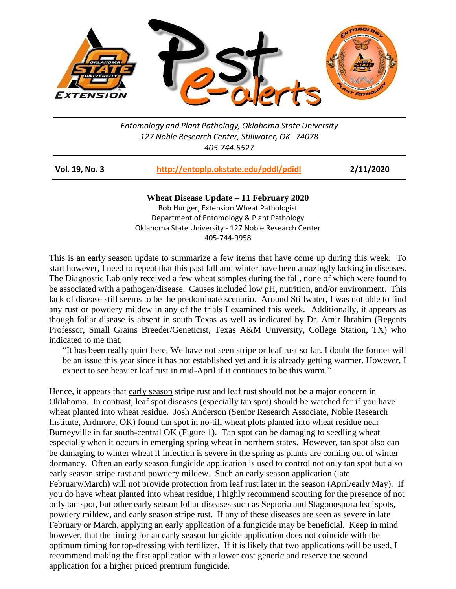

*Entomology and Plant Pathology, Oklahoma State University 127 Noble Research Center, Stillwater, OK 74078 405.744.5527*

| Vol. 19, No. 3 | http://entoplp.okstate.edu/pddl/pdidl | 2/11/2020 |
|----------------|---------------------------------------|-----------|
|----------------|---------------------------------------|-----------|

**Wheat Disease Update – 11 February 2020** Bob Hunger, Extension Wheat Pathologist Department of Entomology & Plant Pathology Oklahoma State University - 127 Noble Research Center 405-744-9958

This is an early season update to summarize a few items that have come up during this week. To start however, I need to repeat that this past fall and winter have been amazingly lacking in diseases. The Diagnostic Lab only received a few wheat samples during the fall, none of which were found to be associated with a pathogen/disease. Causes included low pH, nutrition, and/or environment. This lack of disease still seems to be the predominate scenario. Around Stillwater, I was not able to find any rust or powdery mildew in any of the trials I examined this week. Additionally, it appears as though foliar disease is absent in south Texas as well as indicated by Dr. Amir Ibrahim (Regents Professor, Small Grains Breeder/Geneticist, Texas A&M University, College Station, TX) who indicated to me that,

"It has been really quiet here. We have not seen stripe or leaf rust so far. I doubt the former will be an issue this year since it has not established yet and it is already getting warmer. However, I expect to see heavier leaf rust in mid-April if it continues to be this warm."

Hence, it appears that early season stripe rust and leaf rust should not be a major concern in Oklahoma. In contrast, leaf spot diseases (especially tan spot) should be watched for if you have wheat planted into wheat residue. Josh Anderson (Senior Research Associate, Noble Research Institute, Ardmore, OK) found tan spot in no-till wheat plots planted into wheat residue near Burneyville in far south-central OK (Figure 1). Tan spot can be damaging to seedling wheat especially when it occurs in emerging spring wheat in northern states. However, tan spot also can be damaging to winter wheat if infection is severe in the spring as plants are coming out of winter dormancy. Often an early season fungicide application is used to control not only tan spot but also early season stripe rust and powdery mildew. Such an early season application (late February/March) will not provide protection from leaf rust later in the season (April/early May). If you do have wheat planted into wheat residue, I highly recommend scouting for the presence of not only tan spot, but other early season foliar diseases such as Septoria and Stagonospora leaf spots, powdery mildew, and early season stripe rust. If any of these diseases are seen as severe in late February or March, applying an early application of a fungicide may be beneficial. Keep in mind however, that the timing for an early season fungicide application does not coincide with the optimum timing for top-dressing with fertilizer. If it is likely that two applications will be used, I recommend making the first application with a lower cost generic and reserve the second application for a higher priced premium fungicide.